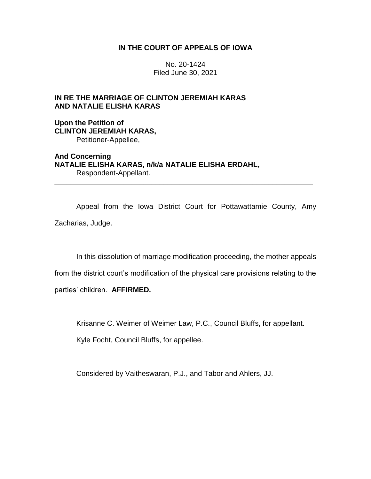## **IN THE COURT OF APPEALS OF IOWA**

No. 20-1424 Filed June 30, 2021

# **IN RE THE MARRIAGE OF CLINTON JEREMIAH KARAS AND NATALIE ELISHA KARAS**

**Upon the Petition of CLINTON JEREMIAH KARAS,** Petitioner-Appellee,

**And Concerning NATALIE ELISHA KARAS, n/k/a NATALIE ELISHA ERDAHL,** Respondent-Appellant.

Appeal from the Iowa District Court for Pottawattamie County, Amy Zacharias, Judge.

\_\_\_\_\_\_\_\_\_\_\_\_\_\_\_\_\_\_\_\_\_\_\_\_\_\_\_\_\_\_\_\_\_\_\_\_\_\_\_\_\_\_\_\_\_\_\_\_\_\_\_\_\_\_\_\_\_\_\_\_\_\_\_\_

In this dissolution of marriage modification proceeding, the mother appeals

from the district court's modification of the physical care provisions relating to the

parties' children. **AFFIRMED.**

Krisanne C. Weimer of Weimer Law, P.C., Council Bluffs, for appellant.

Kyle Focht, Council Bluffs, for appellee.

Considered by Vaitheswaran, P.J., and Tabor and Ahlers, JJ.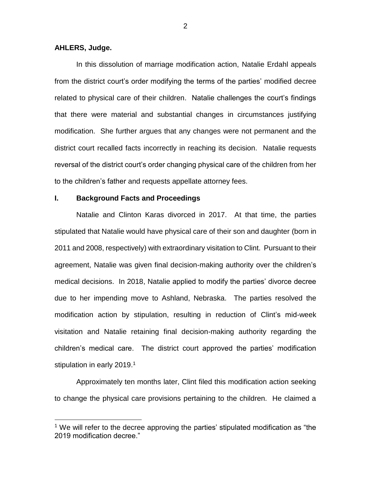#### **AHLERS, Judge.**

 $\overline{a}$ 

In this dissolution of marriage modification action, Natalie Erdahl appeals from the district court's order modifying the terms of the parties' modified decree related to physical care of their children. Natalie challenges the court's findings that there were material and substantial changes in circumstances justifying modification. She further argues that any changes were not permanent and the district court recalled facts incorrectly in reaching its decision. Natalie requests reversal of the district court's order changing physical care of the children from her to the children's father and requests appellate attorney fees.

## **I. Background Facts and Proceedings**

Natalie and Clinton Karas divorced in 2017. At that time, the parties stipulated that Natalie would have physical care of their son and daughter (born in 2011 and 2008, respectively) with extraordinary visitation to Clint. Pursuant to their agreement, Natalie was given final decision-making authority over the children's medical decisions. In 2018, Natalie applied to modify the parties' divorce decree due to her impending move to Ashland, Nebraska. The parties resolved the modification action by stipulation, resulting in reduction of Clint's mid-week visitation and Natalie retaining final decision-making authority regarding the children's medical care. The district court approved the parties' modification stipulation in early 2019.<sup>1</sup>

Approximately ten months later, Clint filed this modification action seeking to change the physical care provisions pertaining to the children. He claimed a

 $1$  We will refer to the decree approving the parties' stipulated modification as "the 2019 modification decree."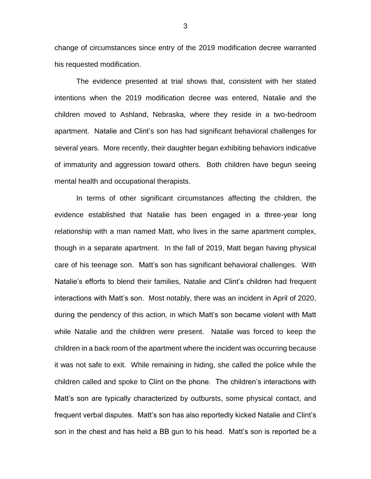change of circumstances since entry of the 2019 modification decree warranted his requested modification.

The evidence presented at trial shows that, consistent with her stated intentions when the 2019 modification decree was entered, Natalie and the children moved to Ashland, Nebraska, where they reside in a two-bedroom apartment. Natalie and Clint's son has had significant behavioral challenges for several years. More recently, their daughter began exhibiting behaviors indicative of immaturity and aggression toward others. Both children have begun seeing mental health and occupational therapists.

In terms of other significant circumstances affecting the children, the evidence established that Natalie has been engaged in a three-year long relationship with a man named Matt, who lives in the same apartment complex, though in a separate apartment. In the fall of 2019, Matt began having physical care of his teenage son. Matt's son has significant behavioral challenges. With Natalie's efforts to blend their families, Natalie and Clint's children had frequent interactions with Matt's son. Most notably, there was an incident in April of 2020, during the pendency of this action, in which Matt's son became violent with Matt while Natalie and the children were present. Natalie was forced to keep the children in a back room of the apartment where the incident was occurring because it was not safe to exit. While remaining in hiding, she called the police while the children called and spoke to Clint on the phone. The children's interactions with Matt's son are typically characterized by outbursts, some physical contact, and frequent verbal disputes. Matt's son has also reportedly kicked Natalie and Clint's son in the chest and has held a BB gun to his head. Matt's son is reported be a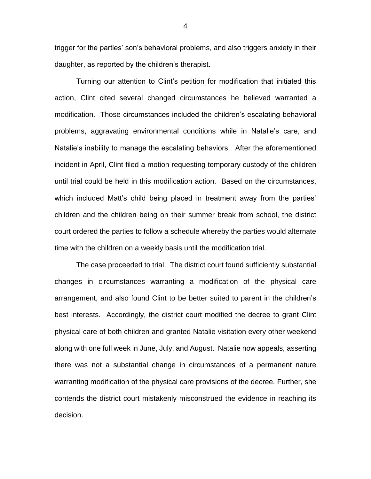trigger for the parties' son's behavioral problems, and also triggers anxiety in their daughter, as reported by the children's therapist.

Turning our attention to Clint's petition for modification that initiated this action, Clint cited several changed circumstances he believed warranted a modification. Those circumstances included the children's escalating behavioral problems, aggravating environmental conditions while in Natalie's care, and Natalie's inability to manage the escalating behaviors. After the aforementioned incident in April, Clint filed a motion requesting temporary custody of the children until trial could be held in this modification action. Based on the circumstances, which included Matt's child being placed in treatment away from the parties' children and the children being on their summer break from school, the district court ordered the parties to follow a schedule whereby the parties would alternate time with the children on a weekly basis until the modification trial.

The case proceeded to trial. The district court found sufficiently substantial changes in circumstances warranting a modification of the physical care arrangement, and also found Clint to be better suited to parent in the children's best interests. Accordingly, the district court modified the decree to grant Clint physical care of both children and granted Natalie visitation every other weekend along with one full week in June, July, and August. Natalie now appeals, asserting there was not a substantial change in circumstances of a permanent nature warranting modification of the physical care provisions of the decree. Further, she contends the district court mistakenly misconstrued the evidence in reaching its decision.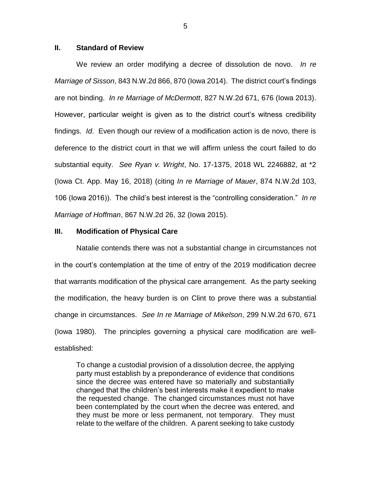### **II. Standard of Review**

We review an order modifying a decree of dissolution de novo. *In re Marriage of Sisson*, 843 N.W.2d 866, 870 (Iowa 2014). The district court's findings are not binding. *In re Marriage of McDermott*, 827 N.W.2d 671, 676 (Iowa 2013). However, particular weight is given as to the district court's witness credibility findings. *Id*. Even though our review of a modification action is de novo, there is deference to the district court in that we will affirm unless the court failed to do substantial equity. *See Ryan v. Wright*, No. 17-1375, 2018 WL 2246882, at \*2 (Iowa Ct. App. May 16, 2018) (citing *In re Marriage of Mauer*, 874 N.W.2d 103, 106 (Iowa 2016)). The child's best interest is the "controlling consideration." *In re Marriage of Hoffman*, 867 N.W.2d 26, 32 (Iowa 2015).

#### **III. Modification of Physical Care**

Natalie contends there was not a substantial change in circumstances not in the court's contemplation at the time of entry of the 2019 modification decree that warrants modification of the physical care arrangement. As the party seeking the modification, the heavy burden is on Clint to prove there was a substantial change in circumstances. *See In re Marriage of Mikelson*, 299 N.W.2d 670, 671 (Iowa 1980). The principles governing a physical care modification are wellestablished:

To change a custodial provision of a dissolution decree, the applying party must establish by a preponderance of evidence that conditions since the decree was entered have so materially and substantially changed that the children's best interests make it expedient to make the requested change. The changed circumstances must not have been contemplated by the court when the decree was entered, and they must be more or less permanent, not temporary. They must relate to the welfare of the children. A parent seeking to take custody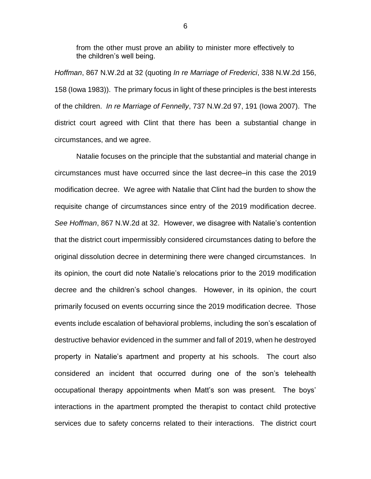from the other must prove an ability to minister more effectively to the children's well being.

*Hoffman*, 867 N.W.2d at 32 (quoting *In re Marriage of Frederici*, 338 N.W.2d 156, 158 (Iowa 1983)). The primary focus in light of these principles is the best interests of the children. *In re Marriage of Fennelly*, 737 N.W.2d 97, 191 (Iowa 2007). The district court agreed with Clint that there has been a substantial change in circumstances, and we agree.

Natalie focuses on the principle that the substantial and material change in circumstances must have occurred since the last decree–in this case the 2019 modification decree. We agree with Natalie that Clint had the burden to show the requisite change of circumstances since entry of the 2019 modification decree. *See Hoffman*, 867 N.W.2d at 32. However, we disagree with Natalie's contention that the district court impermissibly considered circumstances dating to before the original dissolution decree in determining there were changed circumstances. In its opinion, the court did note Natalie's relocations prior to the 2019 modification decree and the children's school changes. However, in its opinion, the court primarily focused on events occurring since the 2019 modification decree. Those events include escalation of behavioral problems, including the son's escalation of destructive behavior evidenced in the summer and fall of 2019, when he destroyed property in Natalie's apartment and property at his schools. The court also considered an incident that occurred during one of the son's telehealth occupational therapy appointments when Matt's son was present. The boys' interactions in the apartment prompted the therapist to contact child protective services due to safety concerns related to their interactions. The district court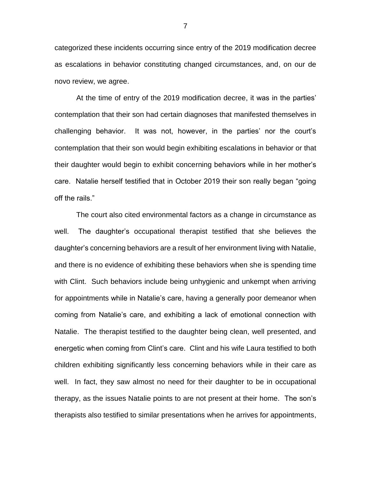categorized these incidents occurring since entry of the 2019 modification decree as escalations in behavior constituting changed circumstances, and, on our de novo review, we agree.

At the time of entry of the 2019 modification decree, it was in the parties' contemplation that their son had certain diagnoses that manifested themselves in challenging behavior. It was not, however, in the parties' nor the court's contemplation that their son would begin exhibiting escalations in behavior or that their daughter would begin to exhibit concerning behaviors while in her mother's care. Natalie herself testified that in October 2019 their son really began "going off the rails."

The court also cited environmental factors as a change in circumstance as well. The daughter's occupational therapist testified that she believes the daughter's concerning behaviors are a result of her environment living with Natalie, and there is no evidence of exhibiting these behaviors when she is spending time with Clint. Such behaviors include being unhygienic and unkempt when arriving for appointments while in Natalie's care, having a generally poor demeanor when coming from Natalie's care, and exhibiting a lack of emotional connection with Natalie. The therapist testified to the daughter being clean, well presented, and energetic when coming from Clint's care. Clint and his wife Laura testified to both children exhibiting significantly less concerning behaviors while in their care as well. In fact, they saw almost no need for their daughter to be in occupational therapy, as the issues Natalie points to are not present at their home. The son's therapists also testified to similar presentations when he arrives for appointments,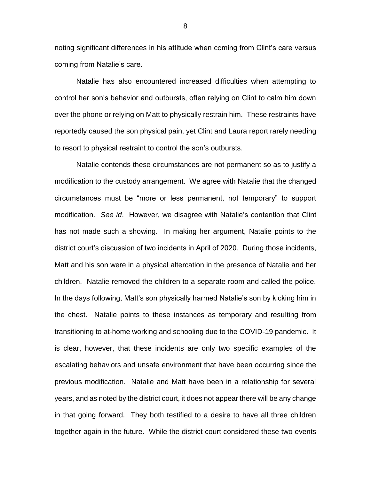noting significant differences in his attitude when coming from Clint's care versus coming from Natalie's care.

Natalie has also encountered increased difficulties when attempting to control her son's behavior and outbursts, often relying on Clint to calm him down over the phone or relying on Matt to physically restrain him. These restraints have reportedly caused the son physical pain, yet Clint and Laura report rarely needing to resort to physical restraint to control the son's outbursts.

Natalie contends these circumstances are not permanent so as to justify a modification to the custody arrangement. We agree with Natalie that the changed circumstances must be "more or less permanent, not temporary" to support modification. *See id*. However, we disagree with Natalie's contention that Clint has not made such a showing. In making her argument, Natalie points to the district court's discussion of two incidents in April of 2020. During those incidents, Matt and his son were in a physical altercation in the presence of Natalie and her children. Natalie removed the children to a separate room and called the police. In the days following, Matt's son physically harmed Natalie's son by kicking him in the chest. Natalie points to these instances as temporary and resulting from transitioning to at-home working and schooling due to the COVID-19 pandemic. It is clear, however, that these incidents are only two specific examples of the escalating behaviors and unsafe environment that have been occurring since the previous modification. Natalie and Matt have been in a relationship for several years, and as noted by the district court, it does not appear there will be any change in that going forward. They both testified to a desire to have all three children together again in the future. While the district court considered these two events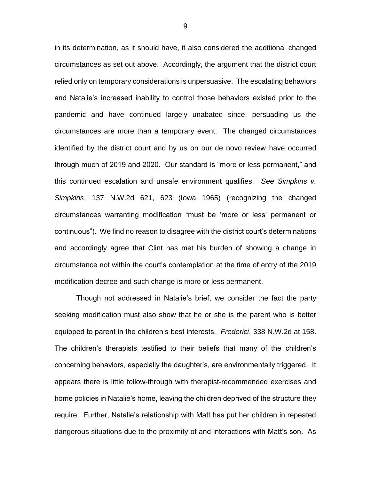in its determination, as it should have, it also considered the additional changed circumstances as set out above. Accordingly, the argument that the district court relied only on temporary considerations is unpersuasive. The escalating behaviors and Natalie's increased inability to control those behaviors existed prior to the pandemic and have continued largely unabated since, persuading us the circumstances are more than a temporary event. The changed circumstances identified by the district court and by us on our de novo review have occurred through much of 2019 and 2020. Our standard is "more or less permanent," and this continued escalation and unsafe environment qualifies. *See Simpkins v. Simpkins*, 137 N.W.2d 621, 623 (Iowa 1965) (recognizing the changed circumstances warranting modification "must be 'more or less' permanent or continuous"). We find no reason to disagree with the district court's determinations and accordingly agree that Clint has met his burden of showing a change in circumstance not within the court's contemplation at the time of entry of the 2019 modification decree and such change is more or less permanent.

Though not addressed in Natalie's brief, we consider the fact the party seeking modification must also show that he or she is the parent who is better equipped to parent in the children's best interests. *Frederici*, 338 N.W.2d at 158. The children's therapists testified to their beliefs that many of the children's concerning behaviors, especially the daughter's, are environmentally triggered. It appears there is little follow-through with therapist-recommended exercises and home policies in Natalie's home, leaving the children deprived of the structure they require. Further, Natalie's relationship with Matt has put her children in repeated dangerous situations due to the proximity of and interactions with Matt's son. As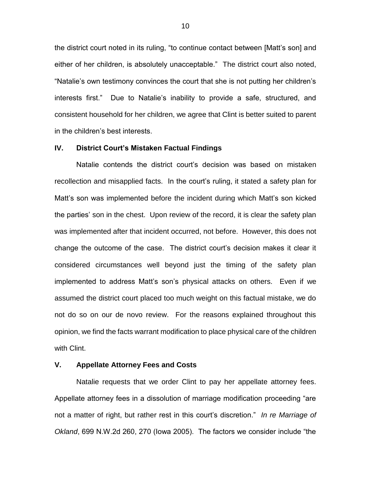the district court noted in its ruling, "to continue contact between [Matt's son] and either of her children, is absolutely unacceptable." The district court also noted, "Natalie's own testimony convinces the court that she is not putting her children's interests first." Due to Natalie's inability to provide a safe, structured, and consistent household for her children, we agree that Clint is better suited to parent in the children's best interests.

### **IV. District Court's Mistaken Factual Findings**

Natalie contends the district court's decision was based on mistaken recollection and misapplied facts. In the court's ruling, it stated a safety plan for Matt's son was implemented before the incident during which Matt's son kicked the parties' son in the chest. Upon review of the record, it is clear the safety plan was implemented after that incident occurred, not before. However, this does not change the outcome of the case. The district court's decision makes it clear it considered circumstances well beyond just the timing of the safety plan implemented to address Matt's son's physical attacks on others. Even if we assumed the district court placed too much weight on this factual mistake, we do not do so on our de novo review. For the reasons explained throughout this opinion, we find the facts warrant modification to place physical care of the children with Clint.

#### **V. Appellate Attorney Fees and Costs**

Natalie requests that we order Clint to pay her appellate attorney fees. Appellate attorney fees in a dissolution of marriage modification proceeding "are not a matter of right, but rather rest in this court's discretion." *In re Marriage of Okland*, 699 N.W.2d 260, 270 (Iowa 2005). The factors we consider include "the